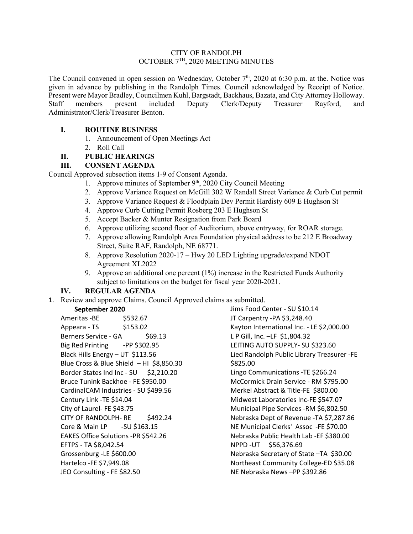### CITY OF RANDOLPH OCTOBER 7TH, 2020 MEETING MINUTES

The Council convened in open session on Wednesday, October 7<sup>th</sup>, 2020 at 6:30 p.m. at the. Notice was given in advance by publishing in the Randolph Times. Council acknowledged by Receipt of Notice. Present were Mayor Bradley, Councilmen Kuhl, Bargstadt, Backhaus, Bazata, and City Attorney Holloway.<br>
Staff members present included Deputy Clerk/Deputy Treasurer Rayford, and Staff members present included Deputy Clerk/Deputy Treasurer Rayford, and Administrator/Clerk/Treasurer Benton.

## **I. ROUTINE BUSINESS**

- 1. Announcement of Open Meetings Act
- 2. Roll Call

# **II. PUBLIC HEARINGS**

## **III. CONSENT AGENDA**

Council Approved subsection items 1-9 of Consent Agenda.

- 1. Approve minutes of September  $9<sup>th</sup>$ , 2020 City Council Meeting
- 2. Approve Variance Request on McGill 302 W Randall Street Variance & Curb Cut permit
- 3. Approve Variance Request & Floodplain Dev Permit Hardisty 609 E Hughson St
- 4. Approve Curb Cutting Permit Rosberg 203 E Hughson St
- 5. Accept Backer & Munter Resignation from Park Board
- 6. Approve utilizing second floor of Auditorium, above entryway, for ROAR storage.
- 7. Approve allowing Randolph Area Foundation physical address to be 212 E Broadway Street, Suite RAF, Randolph, NE 68771.
- 8. Approve Resolution 2020-17 Hwy 20 LED Lighting upgrade/expand NDOT Agreement XL2022
- 9. Approve an additional one percent (1%) increase in the Restricted Funds Authority subject to limitations on the budget for fiscal year 2020-2021.

## **IV. REGULAR AGENDA**

1. Review and approve Claims. Council Approved claims as submitted.

### **September 2020**

Ameritas - BE \$532.67 Appeara - TS \$153.02 Berners Service - GA \$69.13 Big Red Printing -PP \$302.95 Black Hills Energy – UT \$113.56 Blue Cross & Blue Shield – HI \$8,850.30 Border States Ind Inc - SU \$2,210.20 Bruce Tunink Backhoe - FE \$950.00 CardinalCAM Industries - SU \$499.56 Century Link -TE \$14.04 City of Laurel- FE \$43.75 CITY OF RANDOLPH- RE \$492.24 Core & Main LP -SU \$163.15 EAKES Office Solutions -PR \$542.26 EFTPS - TA \$8,042.54 Grossenburg -LE \$600.00 Hartelco -FE \$7,949.08 JEO Consulting - FE \$82.50

Jims Food Center - SU \$10.14 JT Carpentry -PA \$3,248.40 Kayton International Inc. - LE \$2,000.00 L P Gill, Inc. –LF \$1,804.32 LEITING AUTO SUPPLY- SU \$323.60 Lied Randolph Public Library Treasurer -FE \$825.00 Lingo Communications -TE \$266.24 McCormick Drain Service - RM \$795.00 Merkel Abstract & Title-FE \$800.00 Midwest Laboratories Inc-FE \$547.07 Municipal Pipe Services -RM \$6,802.50 Nebraska Dept of Revenue -TA \$7,287.86 NE Municipal Clerks' Assoc -FE \$70.00 Nebraska Public Health Lab -EF \$380.00 NPPD -UT \$56,376.69 Nebraska Secretary of State –TA \$30.00 Northeast Community College-ED \$35.08 NE Nebraska News –PP \$392.86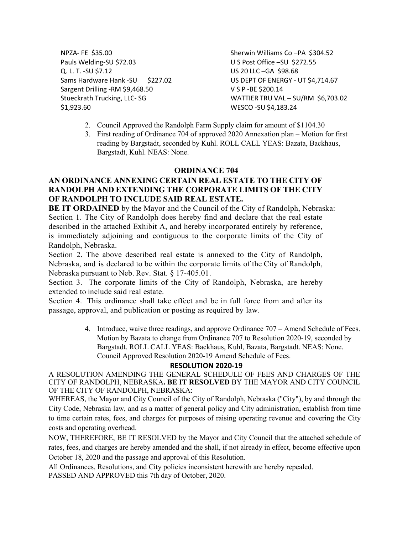NPZA- FE \$35.00 Pauls Welding-SU \$72.03 Q. L. T. -SU \$7.12 Sams Hardware Hank -SU \$227.02 Sargent Drilling -RM \$9,468.50 Stueckrath Trucking, LLC- SG \$1,923.60

Sherwin Williams Co –PA \$304.52 U S Post Office –SU \$272.55 US 20 LLC –GA \$98.68 US DEPT OF ENERGY - UT \$4,714.67 V S P -BE \$200.14 WATTIER TRU VAL - SU/RM \$6,703.02 WESCO -SU \$4,183.24

- 2. Council Approved the Randolph Farm Supply claim for amount of \$1104.30
- 3. First reading of Ordinance 704 of approved 2020 Annexation plan Motion for first reading by Bargstadt, seconded by Kuhl. ROLL CALL YEAS: Bazata, Backhaus, Bargstadt, Kuhl. NEAS: None.

### **ORDINANCE 704**

## **AN ORDINANCE ANNEXING CERTAIN REAL ESTATE TO THE CITY OF RANDOLPH AND EXTENDING THE CORPORATE LIMITS OF THE CITY OF RANDOLPH TO INCLUDE SAID REAL ESTATE.**

**BE IT ORDAINED** by the Mayor and the Council of the City of Randolph, Nebraska: Section 1. The City of Randolph does hereby find and declare that the real estate described in the attached Exhibit A, and hereby incorporated entirely by reference, is immediately adjoining and contiguous to the corporate limits of the City of Randolph, Nebraska.

Section 2. The above described real estate is annexed to the City of Randolph, Nebraska, and is declared to be within the corporate limits of the City of Randolph, Nebraska pursuant to Neb. Rev. Stat. § 17-405.01.

Section 3. The corporate limits of the City of Randolph, Nebraska, are hereby extended to include said real estate.

Section 4. This ordinance shall take effect and be in full force from and after its passage, approval, and publication or posting as required by law.

> 4. Introduce, waive three readings, and approve Ordinance 707 – Amend Schedule of Fees. Motion by Bazata to change from Ordinance 707 to Resolution 2020-19, seconded by Bargstadt. ROLL CALL YEAS: Backhaus, Kuhl, Bazata, Bargstadt. NEAS: None. Council Approved Resolution 2020-19 Amend Schedule of Fees.

#### **RESOLUTION 2020-19**

A RESOLUTION AMENDING THE GENERAL SCHEDULE OF FEES AND CHARGES OF THE CITY OF RANDOLPH, NEBRASKA**. BE IT RESOLVED** BY THE MAYOR AND CITY COUNCIL OF THE CITY OF RANDOLPH, NEBRASKA:

WHEREAS, the Mayor and City Council of the City of Randolph, Nebraska ("City"), by and through the City Code, Nebraska law, and as a matter of general policy and City administration, establish from time to time certain rates, fees, and charges for purposes of raising operating revenue and covering the City costs and operating overhead.

NOW, THEREFORE, BE IT RESOLVED by the Mayor and City Council that the attached schedule of rates, fees, and charges are hereby amended and the shall, if not already in effect, become effective upon October 18, 2020 and the passage and approval of this Resolution.

All Ordinances, Resolutions, and City policies inconsistent herewith are hereby repealed. PASSED AND APPROVED this 7th day of October, 2020.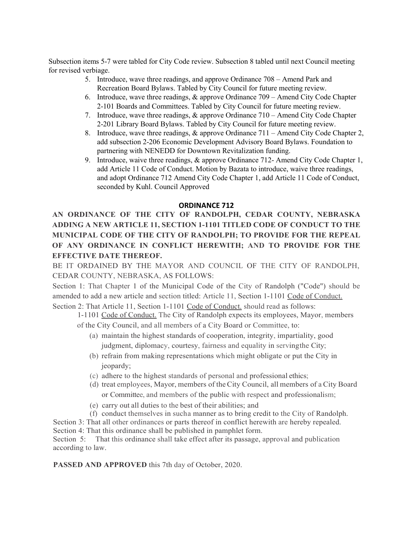Subsection items 5-7 were tabled for City Code review. Subsection 8 tabled until next Council meeting for revised verbiage.

- 5. Introduce, wave three readings, and approve Ordinance 708 Amend Park and Recreation Board Bylaws. Tabled by City Council for future meeting review.
- 6. Introduce, wave three readings, & approve Ordinance 709 Amend City Code Chapter 2-101 Boards and Committees. Tabled by City Council for future meeting review.
- 7. Introduce, wave three readings, & approve Ordinance 710 Amend City Code Chapter 2-201 Library Board Bylaws. Tabled by City Council for future meeting review.
- 8. Introduce, wave three readings, & approve Ordinance 711 Amend City Code Chapter 2, add subsection 2-206 Economic Development Advisory Board Bylaws. Foundation to partnering with NENEDD for Downtown Revitalization funding.
- 9. Introduce, waive three readings, & approve Ordinance 712- Amend City Code Chapter 1, add Article 11 Code of Conduct. Motion by Bazata to introduce, waive three readings, and adopt Ordinance 712 Amend City Code Chapter 1, add Article 11 Code of Conduct, seconded by Kuhl. Council Approved

#### **ORDINANCE 712**

**AN ORDINANCE OF THE CITY OF RANDOLPH, CEDAR COUNTY, NEBRASKA ADDING A NEW ARTICLE 11, SECTION 1-1101 TITLED CODE OF CONDUCT TO THE MUNICIPAL CODE OF THE CITY OF RANDOLPH; TO PROVIDE FOR THE REPEAL OF ANY ORDINANCE IN CONFLICT HEREWITH; AND TO PROVIDE FOR THE EFFECTIVE DATE THEREOF.**

BE IT ORDAINED BY THE MAYOR AND COUNCIL OF THE CITY OF RANDOLPH, CEDAR COUNTY, NEBRASKA, AS FOLLOWS:

Section 1: That Chapter 1 of the Municipal Code of the City of Randolph ("Code") should be amended to add a new article and section titled: Article 11, Section 1-1101 Code of Conduct. Section 2: That Article 11, Section 1-1101 Code of Conduct. should read as follows:

1-1101 Code of Conduct. The City of Randolph expects its employees, Mayor, members of the City Council, and all members of a City Board or Committee, to:

- (a) maintain the highest standards of cooperation, integrity, impartiality, good judgment, diplomacy, courtesy, fairness and equality in servingthe City;
- (b) refrain from making representations which might obligate or put the City in jeopardy;
- (c) adhere to the highest standards of personal and professional ethics;
- (d) treat employees, Mayor, members of the City Council, all members of a City Board or Committee, and members of the public with respect and professionalism;
- (e) carry out all duties to the best of their abilities; and
- (f) conduct themselves in sucha manner as to bring credit to the City of Randolph.

Section 3: That all other ordinances or parts thereof in conflict herewith are hereby repealed. Section 4: That this ordinance shall be published in pamphlet form.

Section 5: That this ordinance shall take effect after its passage, approval and publication according to law.

**PASSED AND APPROVED** this 7th day of October, 2020.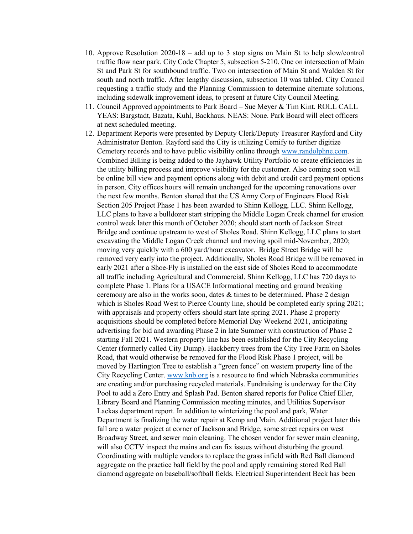- 10. Approve Resolution 2020-18 add up to 3 stop signs on Main St to help slow/control traffic flow near park. City Code Chapter 5, subsection 5-210. One on intersection of Main St and Park St for southbound traffic. Two on intersection of Main St and Walden St for south and north traffic. After lengthy discussion, subsection 10 was tabled. City Council requesting a traffic study and the Planning Commission to determine alternate solutions, including sidewalk improvement ideas, to present at future City Council Meeting.
- 11. Council Approved appointments to Park Board Sue Meyer & Tim Kint. ROLL CALL YEAS: Bargstadt, Bazata, Kuhl, Backhaus. NEAS: None. Park Board will elect officers at next scheduled meeting.
- 12. Department Reports were presented by Deputy Clerk/Deputy Treasurer Rayford and City Administrator Benton. Rayford said the City is utilizing Cemify to further digitize Cemetery records and to have public visibility online through [www.randolphne.com.](http://www.randolphne.com/) Combined Billing is being added to the Jayhawk Utility Portfolio to create efficiencies in the utility billing process and improve visibility for the customer. Also coming soon will be online bill view and payment options along with debit and credit card payment options in person. City offices hours will remain unchanged for the upcoming renovations over the next few months. Benton shared that the US Army Corp of Engineers Flood Risk Section 205 Project Phase 1 has been awarded to Shinn Kellogg, LLC. Shinn Kellogg, LLC plans to have a bulldozer start stripping the Middle Logan Creek channel for erosion control week later this month of October 2020; should start north of Jackson Street Bridge and continue upstream to west of Sholes Road. Shinn Kellogg, LLC plans to start excavating the Middle Logan Creek channel and moving spoil mid-November, 2020; moving very quickly with a 600 yard/hour excavator. Bridge Street Bridge will be removed very early into the project. Additionally, Sholes Road Bridge will be removed in early 2021 after a Shoe-Fly is installed on the east side of Sholes Road to accommodate all traffic including Agricultural and Commercial. Shinn Kellogg, LLC has 720 days to complete Phase 1. Plans for a USACE Informational meeting and ground breaking ceremony are also in the works soon, dates  $&$  times to be determined. Phase 2 design which is Sholes Road West to Pierce County line, should be completed early spring 2021; with appraisals and property offers should start late spring 2021. Phase 2 property acquisitions should be completed before Memorial Day Weekend 2021, anticipating advertising for bid and awarding Phase 2 in late Summer with construction of Phase 2 starting Fall 2021. Western property line has been established for the City Recycling Center (formerly called City Dump). Hackberry trees from the City Tree Farm on Sholes Road, that would otherwise be removed for the Flood Risk Phase 1 project, will be moved by Hartington Tree to establish a "green fence" on western property line of the City Recycling Center. [www.knb.org](http://www.knb.org/) is a resource to find which Nebraska communities are creating and/or purchasing recycled materials. Fundraising is underway for the City Pool to add a Zero Entry and Splash Pad. Benton shared reports for Police Chief Eller, Library Board and Planning Commission meeting minutes, and Utilities Supervisor Lackas department report. In addition to winterizing the pool and park, Water Department is finalizing the water repair at Kemp and Main. Additional project later this fall are a water project at corner of Jackson and Bridge, some street repairs on west Broadway Street, and sewer main cleaning. The chosen vendor for sewer main cleaning, will also CCTV inspect the mains and can fix issues without disturbing the ground. Coordinating with multiple vendors to replace the grass infield with Red Ball diamond aggregate on the practice ball field by the pool and apply remaining stored Red Ball diamond aggregate on baseball/softball fields. Electrical Superintendent Beck has been